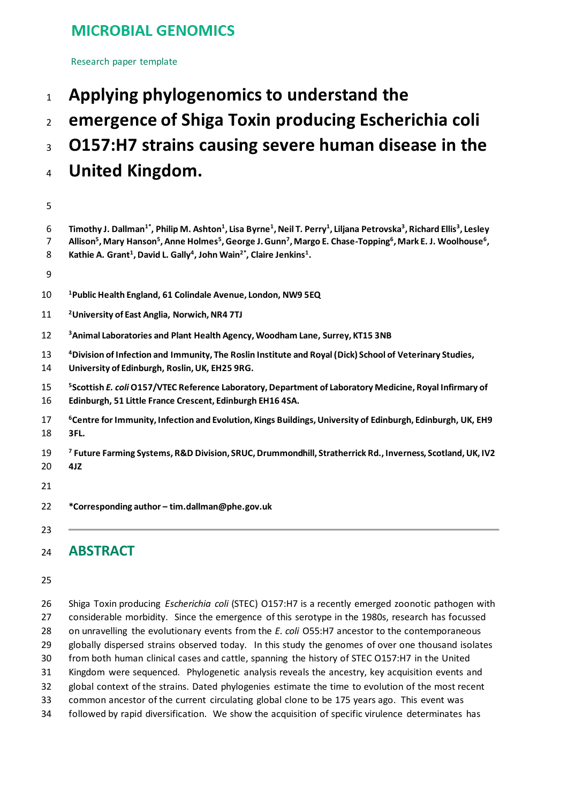# **MICROBIAL GENOMICS**

Research paper template

- **Applying phylogenomics to understand the**
- **emergence of Shiga Toxin producing Escherichia coli**
- **O157:H7 strains causing severe human disease in the**
- **United Kingdom.**
- 

| 6<br>7   | Timothy J. Dallman <sup>1*</sup> , Philip M. Ashton <sup>1</sup> , Lisa Byrne <sup>1</sup> , Neil T. Perry <sup>1</sup> , Liljana Petrovska <sup>3</sup> , Richard Ellis <sup>3</sup> , Lesley<br>Allison <sup>5</sup> , Mary Hanson <sup>5</sup> , Anne Holmes <sup>5</sup> , George J. Gunn <sup>7</sup> , Margo E. Chase-Topping <sup>6</sup> , Mark E. J. Woolhouse <sup>6</sup> , |
|----------|----------------------------------------------------------------------------------------------------------------------------------------------------------------------------------------------------------------------------------------------------------------------------------------------------------------------------------------------------------------------------------------|
| 8        | Kathie A. Grant <sup>1</sup> , David L. Gally <sup>4</sup> , John Wain <sup>2*</sup> , Claire Jenkins <sup>1</sup> .                                                                                                                                                                                                                                                                   |
| 9        |                                                                                                                                                                                                                                                                                                                                                                                        |
| 10       | <sup>1</sup> Public Health England, 61 Colindale Avenue, London, NW9 5EQ                                                                                                                                                                                                                                                                                                               |
| 11       | <sup>2</sup> University of East Anglia, Norwich, NR4 7TJ                                                                                                                                                                                                                                                                                                                               |
| 12       | <sup>3</sup> Animal Laboratories and Plant Health Agency, Woodham Lane, Surrey, KT15 3NB                                                                                                                                                                                                                                                                                               |
| 13<br>14 | <sup>4</sup> Division of Infection and Immunity, The Roslin Institute and Royal (Dick) School of Veterinary Studies,<br>University of Edinburgh, Roslin, UK, EH25 9RG.                                                                                                                                                                                                                 |
| 15<br>16 | <sup>5</sup> Scottish E. coli O157/VTEC Reference Laboratory, Department of Laboratory Medicine, Royal Infirmary of<br>Edinburgh, 51 Little France Crescent, Edinburgh EH16 4SA.                                                                                                                                                                                                       |
| 17<br>18 | <sup>6</sup> Centre for Immunity, Infection and Evolution, Kings Buildings, University of Edinburgh, Edinburgh, UK, EH9<br>3FL.                                                                                                                                                                                                                                                        |
| 19<br>20 | <sup>7</sup> Future Farming Systems, R&D Division, SRUC, Drummondhill, Stratherrick Rd., Inverness, Scotland, UK, IV2<br>4JZ                                                                                                                                                                                                                                                           |
| 21       |                                                                                                                                                                                                                                                                                                                                                                                        |
| 22       | *Corresponding author - tim.dallman@phe.gov.uk                                                                                                                                                                                                                                                                                                                                         |
| 23       |                                                                                                                                                                                                                                                                                                                                                                                        |

# **ABSTRACT**

 Shiga Toxin producing *Escherichia coli* (STEC) O157:H7 is a recently emerged zoonotic pathogen with considerable morbidity. Since the emergence of this serotype in the 1980s, research has focussed on unravelling the evolutionary events from the *E. coli* O55:H7 ancestor to the contemporaneous 29 globally dispersed strains observed today. In this study the genomes of over one thousand isolates from both human clinical cases and cattle, spanning the history of STEC O157:H7 in the United Kingdom were sequenced. Phylogenetic analysis reveals the ancestry, key acquisition events and global context of the strains. Dated phylogenies estimate the time to evolution of the most recent common ancestor of the current circulating global clone to be 175 years ago. This event was followed by rapid diversification. We show the acquisition of specific virulence determinates has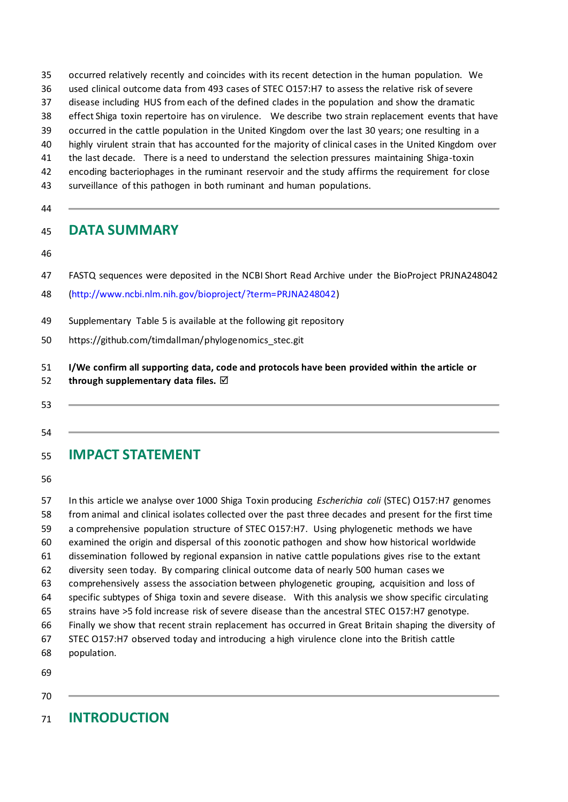occurred relatively recently and coincides with its recent detection in the human population. We used clinical outcome data from 493 cases of STEC O157:H7 to assess the relative risk of severe

- disease including HUS from each of the defined clades in the population and show the dramatic
- effect Shiga toxin repertoire has on virulence. We describe two strain replacement events that have
- occurred in the cattle population in the United Kingdom over the last 30 years; one resulting in a
- highly virulent strain that has accounted for the majority of clinical cases in the United Kingdom over
- the last decade. There is a need to understand the selection pressures maintaining Shiga-toxin
- encoding bacteriophages in the ruminant reservoir and the study affirms the requirement for close
- surveillance of this pathogen in both ruminant and human populations.
- 

## **DATA SUMMARY**

- 
- FASTQ sequences were deposited in the NCBI Short Read Archive under the BioProject PRJNA248042
- [\(http://www.ncbi.nlm.nih.gov/bioproject/?term=PRJNA248042\)](http://www.ncbi.nlm.nih.gov/bioproject/?term=PRJNA248042)
- Supplementary Table 5 is available at the following git repository
- https://github.com/timdallman/phylogenomics\_stec.git
- **I/We confirm all supporting data, code and protocols have been provided within the article or**
- **through supplementary data files.**
- 
- 
- **IMPACT STATEMENT**

 In this article we analyse over 1000 Shiga Toxin producing *Escherichia coli* (STEC) O157:H7 genomes from animal and clinical isolates collected over the past three decades and present for the first time a comprehensive population structure of STEC O157:H7. Using phylogenetic methods we have examined the origin and dispersal of this zoonotic pathogen and show how historical worldwide dissemination followed by regional expansion in native cattle populations gives rise to the extant diversity seen today. By comparing clinical outcome data of nearly 500 human cases we comprehensively assess the association between phylogenetic grouping, acquisition and loss of specific subtypes of Shiga toxin and severe disease. With this analysis we show specific circulating strains have >5 fold increase risk of severe disease than the ancestral STEC O157:H7 genotype. Finally we show that recent strain replacement has occurred in Great Britain shaping the diversity of STEC O157:H7 observed today and introducing a high virulence clone into the British cattle population.

- 
- 

# **INTRODUCTION**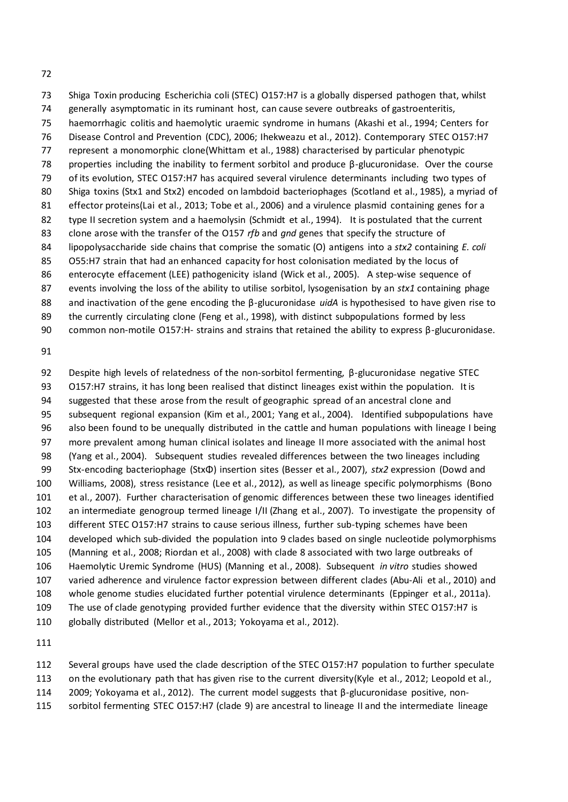Shiga Toxin producing Escherichia coli (STEC) O157:H7 is a globally dispersed pathogen that, whilst generally asymptomatic in its ruminant host, can cause severe outbreaks of gastroenteritis, haemorrhagic colitis and haemolytic uraemic syndrome in humans (Akashi et al., 1994; Centers for Disease Control and Prevention (CDC), 2006; Ihekweazu et al., 2012). Contemporary STEC O157:H7 represent a monomorphic clone(Whittam et al., 1988) characterised by particular phenotypic properties including the inability to ferment sorbitol and produce β-glucuronidase. Over the course of its evolution, STEC O157:H7 has acquired several virulence determinants including two types of Shiga toxins (Stx1 and Stx2) encoded on lambdoid bacteriophages (Scotland et al., 1985), a myriad of effector proteins(Lai et al., 2013; Tobe et al., 2006) and a virulence plasmid containing genes for a type II secretion system and a haemolysin (Schmidt et al., 1994). It is postulated that the current clone arose with the transfer of the O157 *rfb* and *gnd* genes that specify the structure of lipopolysaccharide side chains that comprise the somatic (O) antigens into a *stx2* containing *E. coli* O55:H7 strain that had an enhanced capacity for host colonisation mediated by the locus of enterocyte effacement (LEE) pathogenicity island (Wick et al., 2005). A step-wise sequence of events involving the loss of the ability to utilise sorbitol, lysogenisation by an *stx1* containing phage and inactivation of the gene encoding the β-glucuronidase *uidA* is hypothesised to have given rise to 89 the currently circulating clone (Feng et al., 1998), with distinct subpopulations formed by less common non-motile O157:H- strains and strains that retained the ability to express β-glucuronidase.

 Despite high levels of relatedness of the non-sorbitol fermenting, β-glucuronidase negative STEC O157:H7 strains, it has long been realised that distinct lineages exist within the population. It is suggested that these arose from the result of geographic spread of an ancestral clone and subsequent regional expansion (Kim et al., 2001; Yang et al., 2004). Identified subpopulations have also been found to be unequally distributed in the cattle and human populations with lineage I being more prevalent among human clinical isolates and lineage II more associated with the animal host (Yang et al., 2004). Subsequent studies revealed differences between the two lineages including Stx-encoding bacteriophage (StxΦ) insertion sites (Besser et al., 2007), *stx2* expression (Dowd and Williams, 2008), stress resistance (Lee et al., 2012), as well as lineage specific polymorphisms (Bono et al., 2007). Further characterisation of genomic differences between these two lineages identified an intermediate genogroup termed lineage I/II (Zhang et al., 2007). To investigate the propensity of different STEC O157:H7 strains to cause serious illness, further sub-typing schemes have been developed which sub-divided the population into 9 clades based on single nucleotide polymorphisms (Manning et al., 2008; Riordan et al., 2008) with clade 8 associated with two large outbreaks of Haemolytic Uremic Syndrome (HUS) (Manning et al., 2008). Subsequent *in vitro* studies showed varied adherence and virulence factor expression between different clades (Abu-Ali et al., 2010) and whole genome studies elucidated further potential virulence determinants (Eppinger et al., 2011a). The use of clade genotyping provided further evidence that the diversity within STEC O157:H7 is globally distributed (Mellor et al., 2013; Yokoyama et al., 2012).

Several groups have used the clade description of the STEC O157:H7 population to further speculate

on the evolutionary path that has given rise to the current diversity(Kyle et al., 2012; Leopold et al.,

- 2009; Yokoyama et al., 2012). The current model suggests that β-glucuronidase positive, non-
- sorbitol fermenting STEC O157:H7 (clade 9) are ancestral to lineage II and the intermediate lineage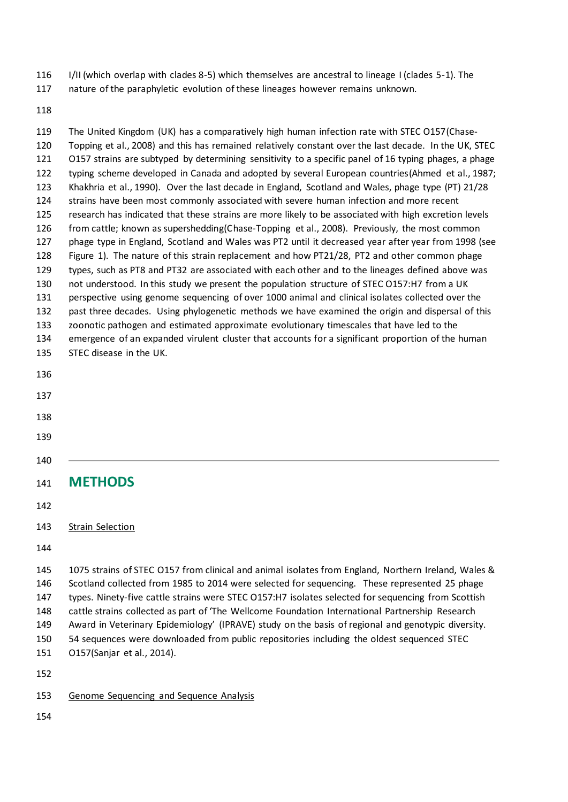- I/II (which overlap with clades 8-5) which themselves are ancestral to lineage I (clades 5-1). The
- nature of the paraphyletic evolution of these lineages however remains unknown.

 The United Kingdom (UK) has a comparatively high human infection rate with STEC O157(Chase- Topping et al., 2008) and this has remained relatively constant over the last decade. In the UK, STEC 121 O157 strains are subtyped by determining sensitivity to a specific panel of 16 typing phages, a phage typing scheme developed in Canada and adopted by several European countries(Ahmed et al., 1987; Khakhria et al., 1990). Over the last decade in England, Scotland and Wales, phage type (PT) 21/28 strains have been most commonly associated with severe human infection and more recent research has indicated that these strains are more likely to be associated with high excretion levels from cattle; known as supershedding(Chase-Topping et al., 2008). Previously, the most common phage type in England, Scotland and Wales was PT2 until it decreased year after year from 1998 (see Figure 1). The nature of this strain replacement and how PT21/28, PT2 and other common phage types, such as PT8 and PT32 are associated with each other and to the lineages defined above was not understood. In this study we present the population structure of STEC O157:H7 from a UK perspective using genome sequencing of over 1000 animal and clinical isolates collected over the past three decades. Using phylogenetic methods we have examined the origin and dispersal of this zoonotic pathogen and estimated approximate evolutionary timescales that have led to the emergence of an expanded virulent cluster that accounts for a significant proportion of the human STEC disease in the UK. **METHODS** Strain Selection 1075 strains of STEC O157 from clinical and animal isolates from England, Northern Ireland, Wales & Scotland collected from 1985 to 2014 were selected for sequencing. These represented 25 phage types. Ninety-five cattle strains were STEC O157:H7 isolates selected for sequencing from Scottish cattle strains collected as part of 'The Wellcome Foundation International Partnership Research Award in Veterinary Epidemiology' (IPRAVE) study on the basis of regional and genotypic diversity. 54 sequences were downloaded from public repositories including the oldest sequenced STEC O157(Sanjar et al., 2014). 

- 153 Genome Sequencing and Sequence Analysis
-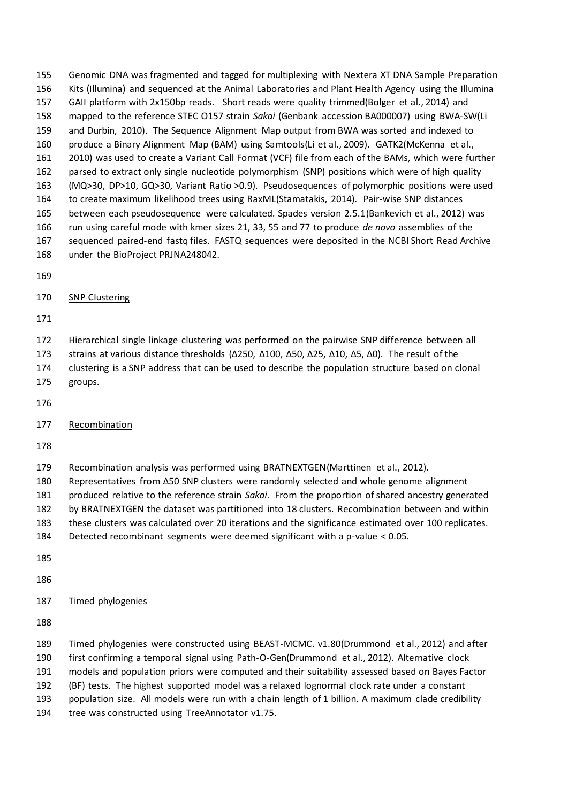Genomic DNA was fragmented and tagged for multiplexing with Nextera XT DNA Sample Preparation Kits (Illumina) and sequenced at the Animal Laboratories and Plant Health Agency using the Illumina GAII platform with 2x150bp reads. Short reads were quality trimmed(Bolger et al., 2014) and mapped to the reference STEC O157 strain *Sakai* (Genbank accession BA000007) using BWA-SW(Li and Durbin, 2010). The Sequence Alignment Map output from BWA was sorted and indexed to produce a Binary Alignment Map (BAM) using Samtools(Li et al., 2009). GATK2(McKenna et al., 2010) was used to create a Variant Call Format (VCF) file from each of the BAMs, which were further parsed to extract only single nucleotide polymorphism (SNP) positions which were of high quality (MQ>30, DP>10, GQ>30, Variant Ratio >0.9). Pseudosequences of polymorphic positions were used to create maximum likelihood trees using RaxML(Stamatakis, 2014). Pair-wise SNP distances between each pseudosequence were calculated. Spades version 2.5.1(Bankevich et al., 2012) was run using careful mode with kmer sizes 21, 33, 55 and 77 to produce *de novo* assemblies of the sequenced paired-end fastq files. FASTQ sequences were deposited in the NCBI Short Read Archive under the BioProject PRJNA248042.

#### SNP Clustering

 Hierarchical single linkage clustering was performed on the pairwise SNP difference between all strains at various distance thresholds (Δ250, Δ100, Δ50, Δ25, Δ10, Δ5, Δ0). The result of the clustering is a SNP address that can be used to describe the population structure based on clonal groups.

#### Recombination

- Recombination analysis was performed using BRATNEXTGEN(Marttinen et al., 2012).
- Representatives from Δ50 SNP clusters were randomly selected and whole genome alignment
- produced relative to the reference strain *Sakai*. From the proportion of shared ancestry generated
- by BRATNEXTGEN the dataset was partitioned into 18 clusters. Recombination between and within
- these clusters was calculated over 20 iterations and the significance estimated over 100 replicates.
- Detected recombinant segments were deemed significant with a p-value < 0.05.
- 

#### Timed phylogenies

Timed phylogenies were constructed using BEAST-MCMC. v1.80(Drummond et al., 2012) and after

first confirming a temporal signal using Path-O-Gen(Drummond et al., 2012). Alternative clock

models and population priors were computed and their suitability assessed based on Bayes Factor

(BF) tests. The highest supported model was a relaxed lognormal clock rate under a constant

- population size. All models were run with a chain length of 1 billion. A maximum clade credibility
- tree was constructed using TreeAnnotator v1.75.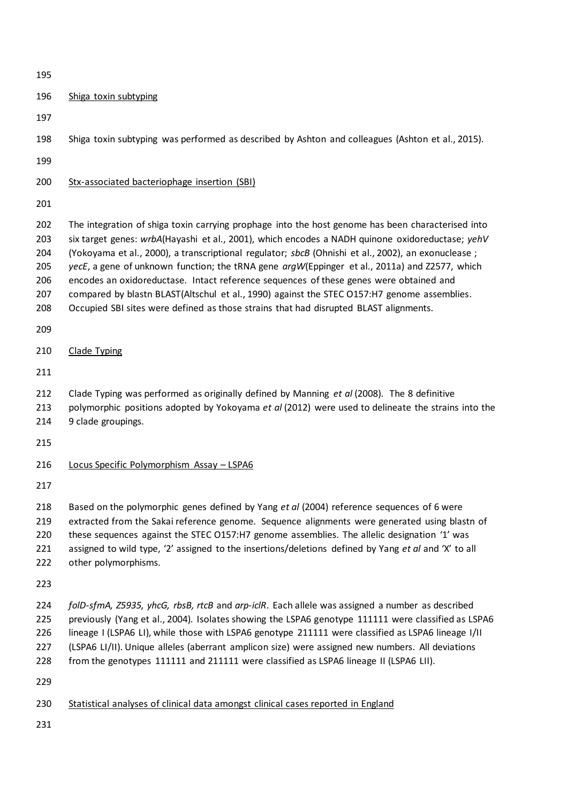| 195                                           |                                                                                                                                                                                                                                                                                                                                                                                                                                                                                                                                                                                                                                                                                               |  |  |  |  |  |
|-----------------------------------------------|-----------------------------------------------------------------------------------------------------------------------------------------------------------------------------------------------------------------------------------------------------------------------------------------------------------------------------------------------------------------------------------------------------------------------------------------------------------------------------------------------------------------------------------------------------------------------------------------------------------------------------------------------------------------------------------------------|--|--|--|--|--|
| 196                                           | Shiga toxin subtyping                                                                                                                                                                                                                                                                                                                                                                                                                                                                                                                                                                                                                                                                         |  |  |  |  |  |
| 197                                           |                                                                                                                                                                                                                                                                                                                                                                                                                                                                                                                                                                                                                                                                                               |  |  |  |  |  |
| 198                                           | Shiga toxin subtyping was performed as described by Ashton and colleagues (Ashton et al., 2015).                                                                                                                                                                                                                                                                                                                                                                                                                                                                                                                                                                                              |  |  |  |  |  |
| 199                                           |                                                                                                                                                                                                                                                                                                                                                                                                                                                                                                                                                                                                                                                                                               |  |  |  |  |  |
| 200                                           | Stx-associated bacteriophage insertion (SBI)                                                                                                                                                                                                                                                                                                                                                                                                                                                                                                                                                                                                                                                  |  |  |  |  |  |
| 201                                           |                                                                                                                                                                                                                                                                                                                                                                                                                                                                                                                                                                                                                                                                                               |  |  |  |  |  |
| 202<br>203<br>204<br>205<br>206<br>207<br>208 | The integration of shiga toxin carrying prophage into the host genome has been characterised into<br>six target genes: wrbA(Hayashi et al., 2001), which encodes a NADH quinone oxidoreductase; yehV<br>(Yokoyama et al., 2000), a transcriptional regulator; sbcB (Ohnishi et al., 2002), an exonuclease;<br>yecE, a gene of unknown function; the tRNA gene argW(Eppinger et al., 2011a) and Z2577, which<br>encodes an oxidoreductase. Intact reference sequences of these genes were obtained and<br>compared by blastn BLAST(Altschul et al., 1990) against the STEC O157:H7 genome assemblies.<br>Occupied SBI sites were defined as those strains that had disrupted BLAST alignments. |  |  |  |  |  |
| 209                                           |                                                                                                                                                                                                                                                                                                                                                                                                                                                                                                                                                                                                                                                                                               |  |  |  |  |  |
| 210                                           | <b>Clade Typing</b>                                                                                                                                                                                                                                                                                                                                                                                                                                                                                                                                                                                                                                                                           |  |  |  |  |  |
| 211                                           |                                                                                                                                                                                                                                                                                                                                                                                                                                                                                                                                                                                                                                                                                               |  |  |  |  |  |
| 212<br>213<br>214                             | Clade Typing was performed as originally defined by Manning et al (2008). The 8 definitive<br>polymorphic positions adopted by Yokoyama et al (2012) were used to delineate the strains into the<br>9 clade groupings.                                                                                                                                                                                                                                                                                                                                                                                                                                                                        |  |  |  |  |  |
| 215                                           |                                                                                                                                                                                                                                                                                                                                                                                                                                                                                                                                                                                                                                                                                               |  |  |  |  |  |
| 216                                           | Locus Specific Polymorphism Assay - LSPA6                                                                                                                                                                                                                                                                                                                                                                                                                                                                                                                                                                                                                                                     |  |  |  |  |  |
| 217                                           |                                                                                                                                                                                                                                                                                                                                                                                                                                                                                                                                                                                                                                                                                               |  |  |  |  |  |
| 218<br>219<br>220<br>221<br>222               | Based on the polymorphic genes defined by Yang et al (2004) reference sequences of 6 were<br>extracted from the Sakai reference genome. Sequence alignments were generated using blastn of<br>these sequences against the STEC 0157:H7 genome assemblies. The allelic designation '1' was<br>assigned to wild type, '2' assigned to the insertions/deletions defined by Yang et al and 'X' to all<br>other polymorphisms.                                                                                                                                                                                                                                                                     |  |  |  |  |  |
| 223                                           |                                                                                                                                                                                                                                                                                                                                                                                                                                                                                                                                                                                                                                                                                               |  |  |  |  |  |
| 224<br>225<br>226<br>227<br>228<br>229        | folD-sfmA, Z5935, yhcG, rbsB, rtcB and arp-iclR. Each allele was assigned a number as described<br>previously (Yang et al., 2004). Isolates showing the LSPA6 genotype 111111 were classified as LSPA6<br>lineage I (LSPA6 LI), while those with LSPA6 genotype 211111 were classified as LSPA6 lineage I/II<br>(LSPA6 LI/II). Unique alleles (aberrant amplicon size) were assigned new numbers. All deviations<br>from the genotypes 111111 and 211111 were classified as LSPA6 lineage II (LSPA6 LII).                                                                                                                                                                                     |  |  |  |  |  |
| 230                                           | Statistical analyses of clinical data amongst clinical cases reported in England                                                                                                                                                                                                                                                                                                                                                                                                                                                                                                                                                                                                              |  |  |  |  |  |
| 231                                           |                                                                                                                                                                                                                                                                                                                                                                                                                                                                                                                                                                                                                                                                                               |  |  |  |  |  |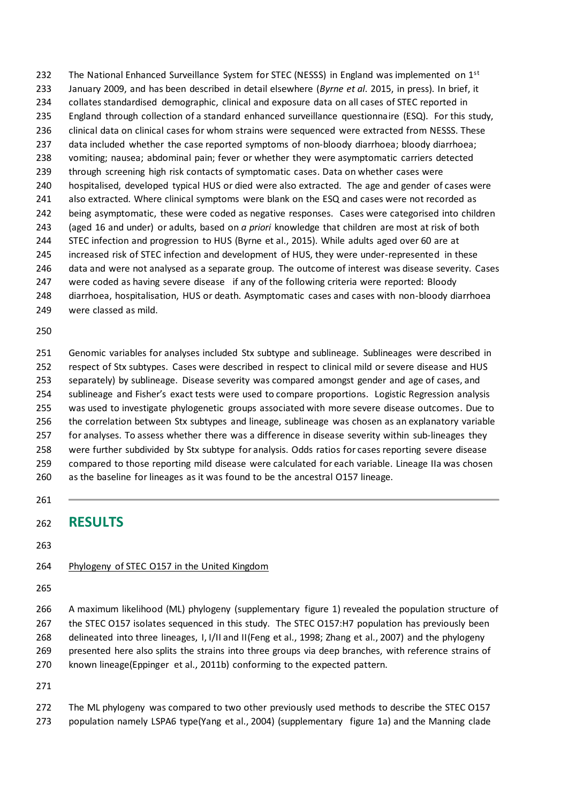232 The National Enhanced Surveillance System for STEC (NESSS) in England was implemented on  $1<sup>st</sup>$  January 2009, and has been described in detail elsewhere (*Byrne et al*. 2015, in press). In brief, it collates standardised demographic, clinical and exposure data on all cases of STEC reported in England through collection of a standard enhanced surveillance questionnaire (ESQ). For this study, 236 clinical data on clinical cases for whom strains were sequenced were extracted from NESSS. These data included whether the case reported symptoms of non-bloody diarrhoea; bloody diarrhoea; vomiting; nausea; abdominal pain; fever or whether they were asymptomatic carriers detected through screening high risk contacts of symptomatic cases. Data on whether cases were hospitalised, developed typical HUS or died were also extracted. The age and gender of cases were also extracted. Where clinical symptoms were blank on the ESQ and cases were not recorded as being asymptomatic, these were coded as negative responses. Cases were categorised into children (aged 16 and under) or adults, based on *a priori* knowledge that children are most at risk of both STEC infection and progression to HUS (Byrne et al., 2015). While adults aged over 60 are at increased risk of STEC infection and development of HUS, they were under-represented in these data and were not analysed as a separate group. The outcome of interest was disease severity. Cases were coded as having severe disease if any of the following criteria were reported: Bloody diarrhoea, hospitalisation, HUS or death. Asymptomatic cases and cases with non-bloody diarrhoea were classed as mild.

 Genomic variables for analyses included Stx subtype and sublineage. Sublineages were described in respect of Stx subtypes. Cases were described in respect to clinical mild or severe disease and HUS separately) by sublineage. Disease severity was compared amongst gender and age of cases, and sublineage and Fisher's exact tests were used to compare proportions. Logistic Regression analysis was used to investigate phylogenetic groups associated with more severe disease outcomes. Due to the correlation between Stx subtypes and lineage, sublineage was chosen as an explanatory variable for analyses. To assess whether there was a difference in disease severity within sub-lineages they were further subdivided by Stx subtype for analysis. Odds ratios for cases reporting severe disease compared to those reporting mild disease were calculated for each variable. Lineage IIa was chosen as the baseline for lineages as it was found to be the ancestral O157 lineage.

# **RESULTS**

#### 264 Phylogeny of STEC 0157 in the United Kingdom

 A maximum likelihood (ML) phylogeny (supplementary figure 1) revealed the population structure of the STEC O157 isolates sequenced in this study. The STEC O157:H7 population has previously been delineated into three lineages, I, I/II and II(Feng et al., 1998; Zhang et al., 2007) and the phylogeny 269 presented here also splits the strains into three groups via deep branches, with reference strains of known lineage(Eppinger et al., 2011b) conforming to the expected pattern.

 The ML phylogeny was compared to two other previously used methods to describe the STEC O157 population namely LSPA6 type(Yang et al., 2004) (supplementary figure 1a) and the Manning clade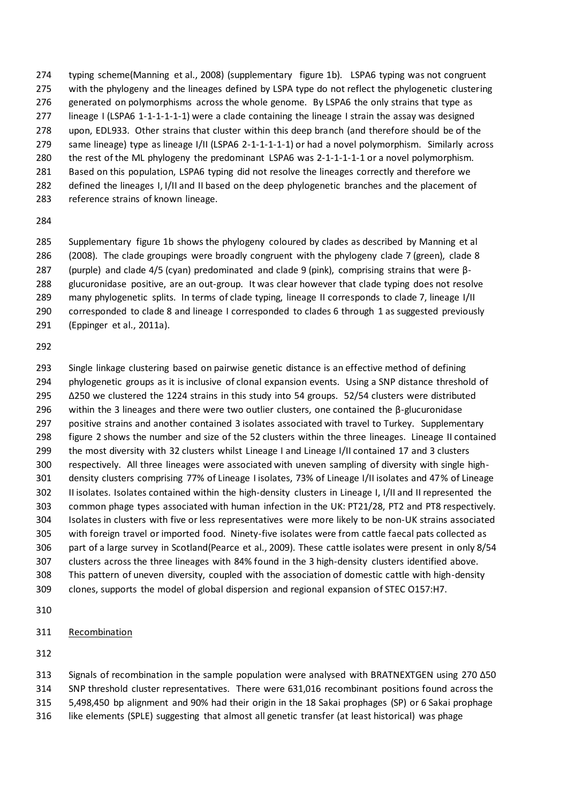typing scheme(Manning et al., 2008) (supplementary figure 1b). LSPA6 typing was not congruent with the phylogeny and the lineages defined by LSPA type do not reflect the phylogenetic clustering 276 generated on polymorphisms across the whole genome. By LSPA6 the only strains that type as lineage I (LSPA6 1-1-1-1-1-1) were a clade containing the lineage I strain the assay was designed upon, EDL933. Other strains that cluster within this deep branch (and therefore should be of the same lineage) type as lineage I/II (LSPA6 2-1-1-1-1-1) or had a novel polymorphism. Similarly across the rest of the ML phylogeny the predominant LSPA6 was 2-1-1-1-1-1 or a novel polymorphism. Based on this population, LSPA6 typing did not resolve the lineages correctly and therefore we 282 defined the lineages I, I/II and II based on the deep phylogenetic branches and the placement of reference strains of known lineage.

 Supplementary figure 1b shows the phylogeny coloured by clades as described by Manning et al (2008). The clade groupings were broadly congruent with the phylogeny clade 7 (green), clade 8 (purple) and clade 4/5 (cyan) predominated and clade 9 (pink), comprising strains that were β- glucuronidase positive, are an out-group. It was clear however that clade typing does not resolve many phylogenetic splits. In terms of clade typing, lineage II corresponds to clade 7, lineage I/II corresponded to clade 8 and lineage I corresponded to clades 6 through 1 as suggested previously (Eppinger et al., 2011a).

 Single linkage clustering based on pairwise genetic distance is an effective method of defining phylogenetic groups as it is inclusive of clonal expansion events. Using a SNP distance threshold of Δ250 we clustered the 1224 strains in this study into 54 groups. 52/54 clusters were distributed 296 within the 3 lineages and there were two outlier clusters, one contained the  $\beta$ -glucuronidase positive strains and another contained 3 isolates associated with travel to Turkey. Supplementary figure 2 shows the number and size of the 52 clusters within the three lineages. Lineage II contained the most diversity with 32 clusters whilst Lineage I and Lineage I/II contained 17 and 3 clusters respectively. All three lineages were associated with uneven sampling of diversity with single high- density clusters comprising 77% of Lineage I isolates, 73% of Lineage I/II isolates and 47% of Lineage II isolates. Isolates contained within the high-density clusters in Lineage I, I/II and II represented the common phage types associated with human infection in the UK: PT21/28, PT2 and PT8 respectively. Isolates in clusters with five or less representatives were more likely to be non-UK strains associated with foreign travel or imported food. Ninety-five isolates were from cattle faecal pats collected as part of a large survey in Scotland(Pearce et al., 2009). These cattle isolates were present in only 8/54 clusters across the three lineages with 84% found in the 3 high-density clusters identified above. This pattern of uneven diversity, coupled with the association of domestic cattle with high-density clones, supports the model of global dispersion and regional expansion of STEC O157:H7.

#### Recombination

 Signals of recombination in the sample population were analysed with BRATNEXTGEN using 270 Δ50 SNP threshold cluster representatives. There were 631,016 recombinant positions found across the 5,498,450 bp alignment and 90% had their origin in the 18 Sakai prophages (SP) or 6 Sakai prophage

like elements (SPLE) suggesting that almost all genetic transfer (at least historical) was phage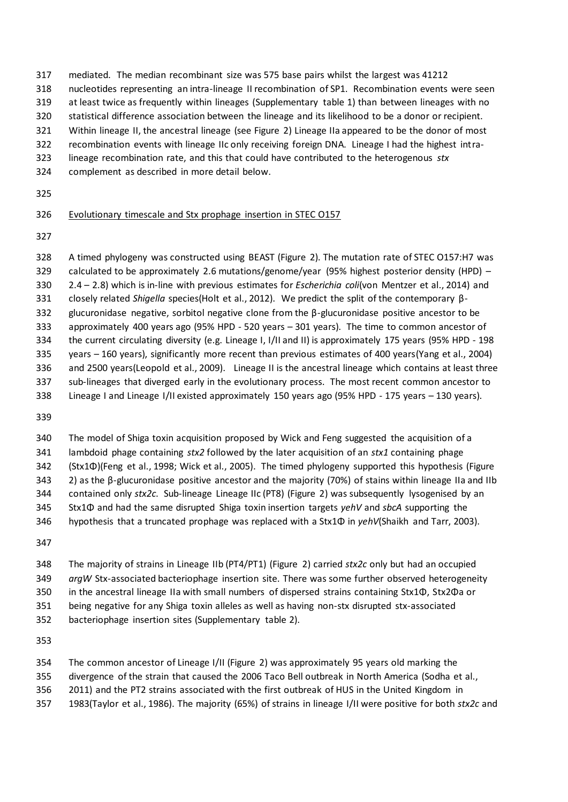- mediated. The median recombinant size was 575 base pairs whilst the largest was 41212
- nucleotides representing an intra-lineage II recombination of SP1. Recombination events were seen
- at least twice as frequently within lineages (Supplementary table 1) than between lineages with no
- statistical difference association between the lineage and its likelihood to be a donor or recipient.
- Within lineage II, the ancestral lineage (see Figure 2) Lineage IIa appeared to be the donor of most
- recombination events with lineage IIc only receiving foreign DNA. Lineage I had the highest intra-
- lineage recombination rate, and this that could have contributed to the heterogenous *stx*
- complement as described in more detail below.
- 

### Evolutionary timescale and Stx prophage insertion in STEC O157

 A timed phylogeny was constructed using BEAST (Figure 2). The mutation rate of STEC O157:H7 was calculated to be approximately 2.6 mutations/genome/year (95% highest posterior density (HPD) – 2.4 – 2.8) which is in-line with previous estimates for *Escherichia coli*(von Mentzer et al., 2014) and closely related *Shigella* species(Holt et al., 2012). We predict the split of the contemporary β- glucuronidase negative, sorbitol negative clone from the β-glucuronidase positive ancestor to be approximately 400 years ago (95% HPD - 520 years – 301 years). The time to common ancestor of the current circulating diversity (e.g. Lineage I, I/II and II) is approximately 175 years (95% HPD - 198 years – 160 years), significantly more recent than previous estimates of 400 years(Yang et al., 2004) and 2500 years(Leopold et al., 2009). Lineage II is the ancestral lineage which contains at least three sub-lineages that diverged early in the evolutionary process. The most recent common ancestor to Lineage I and Lineage I/II existed approximately 150 years ago (95% HPD - 175 years – 130 years).

 The model of Shiga toxin acquisition proposed by Wick and Feng suggested the acquisition of a lambdoid phage containing *stx2* followed by the later acquisition of an *stx1* containing phage (Stx1Φ)(Feng et al., 1998; Wick et al., 2005). The timed phylogeny supported this hypothesis (Figure 2) as the β-glucuronidase positive ancestor and the majority (70%) of stains within lineage IIa and IIb contained only *stx2c*. Sub-lineage Lineage IIc (PT8) (Figure 2) was subsequently lysogenised by an Stx1Φ and had the same disrupted Shiga toxin insertion targets *yehV* and *sbcA* supporting the hypothesis that a truncated prophage was replaced with a Stx1Φ in *yehV*(Shaikh and Tarr, 2003).

 The majority of strains in Lineage IIb (PT4/PT1) (Figure 2) carried *stx2c* only but had an occupied *argW* Stx-associated bacteriophage insertion site. There was some further observed heterogeneity in the ancestral lineage IIa with small numbers of dispersed strains containing Stx1Φ, Stx2Φa or being negative for any Shiga toxin alleles as well as having non-stx disrupted stx-associated bacteriophage insertion sites (Supplementary table 2).

 The common ancestor of Lineage I/II (Figure 2) was approximately 95 years old marking the divergence of the strain that caused the 2006 Taco Bell outbreak in North America (Sodha et al.,

- 2011) and the PT2 strains associated with the first outbreak of HUS in the United Kingdom in
- 1983(Taylor et al., 1986). The majority (65%) of strains in lineage I/II were positive for both *stx2c* and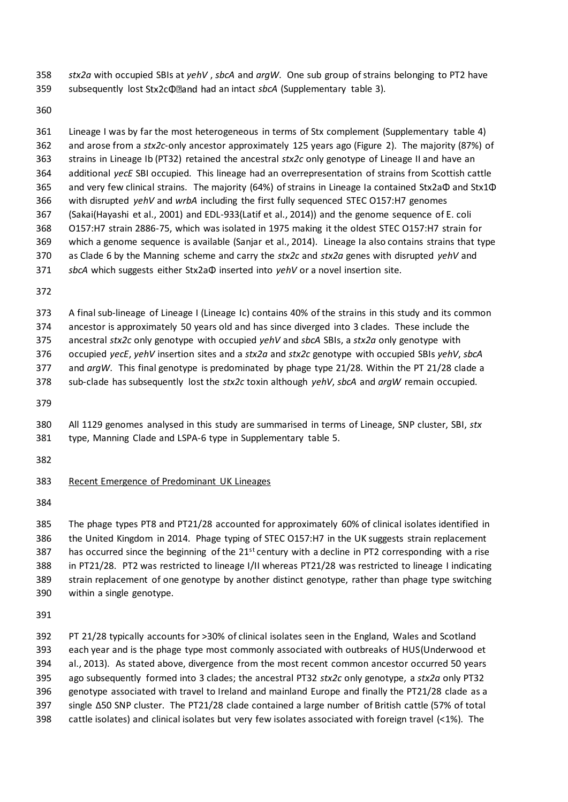*stx2a* with occupied SBIs at *yehV* , *sbcA* and *argW*. One sub group of strains belonging to PT2 have 359 subsequently lost Stx2c $\Phi$ Dand had an intact *sbcA* (Supplementary table 3).

 Lineage I was by far the most heterogeneous in terms of Stx complement (Supplementary table 4) and arose from a *stx2c*-only ancestor approximately 125 years ago (Figure 2). The majority (87%) of strains in Lineage Ib (PT32) retained the ancestral *stx2c* only genotype of Lineage II and have an additional *yecE* SBI occupied. This lineage had an overrepresentation of strains from Scottish cattle and very few clinical strains. The majority (64%) of strains in Lineage Ia contained Stx2aΦ and Stx1Φ with disrupted *yehV* and *wrbA* including the first fully sequenced STEC O157:H7 genomes (Sakai(Hayashi et al., 2001) and EDL-933(Latif et al., 2014)) and the genome sequence of E. coli O157:H7 strain 2886-75, which was isolated in 1975 making it the oldest STEC O157:H7 strain for which a genome sequence is available (Sanjar et al., 2014). Lineage Ia also contains strains that type as Clade 6 by the Manning scheme and carry the *stx2c* and *stx2a* genes with disrupted *yehV* and *sbcA* which suggests either Stx2aΦ inserted into *yehV* or a novel insertion site.

A final sub-lineage of Lineage I (Lineage Ic) contains 40% of the strains in this study and its common

ancestor is approximately 50 years old and has since diverged into 3 clades. These include the

ancestral *stx2c* only genotype with occupied *yehV* and *sbcA* SBIs, a *stx2a* only genotype with

occupied *yecE*, *yehV* insertion sites and a *stx2a* and *stx2c* genotype with occupied SBIs *yehV*, *sbcA*

 and *argW*. This final genotype is predominated by phage type 21/28. Within the PT 21/28 clade a sub-clade has subsequently lost the *stx2c* toxin although *yehV*, *sbcA* and *argW* remain occupied.

 All 1129 genomes analysed in this study are summarised in terms of Lineage, SNP cluster, SBI, *stx* type, Manning Clade and LSPA-6 type in Supplementary table 5.

#### Recent Emergence of Predominant UK Lineages

 The phage types PT8 and PT21/28 accounted for approximately 60% of clinical isolates identified in the United Kingdom in 2014. Phage typing of STEC O157:H7 in the UK suggests strain replacement 387 has occurred since the beginning of the  $21^{st}$  century with a decline in PT2 corresponding with a rise in PT21/28. PT2 was restricted to lineage I/II whereas PT21/28 was restricted to lineage I indicating strain replacement of one genotype by another distinct genotype, rather than phage type switching within a single genotype.

 PT 21/28 typically accounts for >30% of clinical isolates seen in the England, Wales and Scotland each year and is the phage type most commonly associated with outbreaks of HUS(Underwood et al., 2013). As stated above, divergence from the most recent common ancestor occurred 50 years ago subsequently formed into 3 clades; the ancestral PT32 *stx2c* only genotype, a *stx2a* only PT32 genotype associated with travel to Ireland and mainland Europe and finally the PT21/28 clade as a single Δ50 SNP cluster. The PT21/28 clade contained a large number of British cattle (57% of total cattle isolates) and clinical isolates but very few isolates associated with foreign travel (<1%). The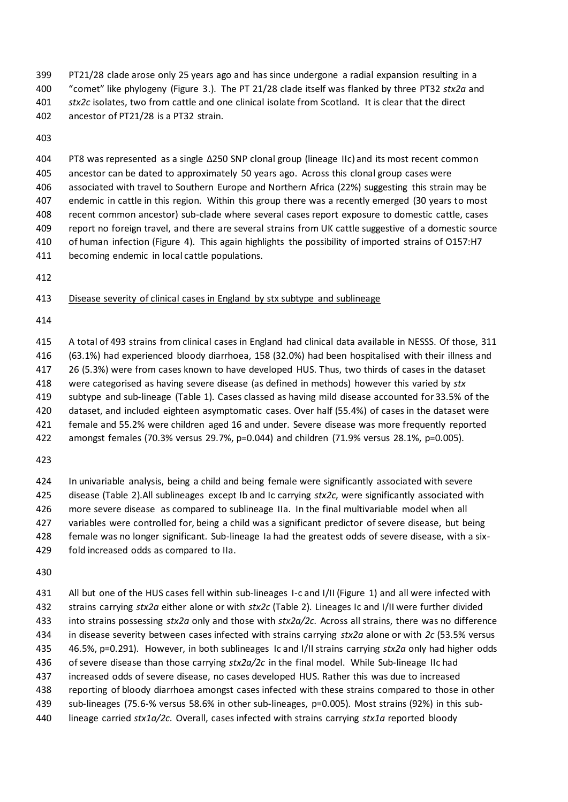PT21/28 clade arose only 25 years ago and has since undergone a radial expansion resulting in a "comet" like phylogeny (Figure 3.). The PT 21/28 clade itself was flanked by three PT32 *stx2a* and *stx2c* isolates, two from cattle and one clinical isolate from Scotland. It is clear that the direct ancestor of PT21/28 is a PT32 strain.

 PT8 was represented as a single Δ250 SNP clonal group (lineage IIc) and its most recent common ancestor can be dated to approximately 50 years ago. Across this clonal group cases were associated with travel to Southern Europe and Northern Africa (22%) suggesting this strain may be endemic in cattle in this region. Within this group there was a recently emerged (30 years to most recent common ancestor) sub-clade where several cases report exposure to domestic cattle, cases report no foreign travel, and there are several strains from UK cattle suggestive of a domestic source of human infection (Figure 4). This again highlights the possibility of imported strains of O157:H7 becoming endemic in local cattle populations.

Disease severity of clinical cases in England by stx subtype and sublineage

 A total of 493 strains from clinical cases in England had clinical data available in NESSS. Of those, 311 (63.1%) had experienced bloody diarrhoea, 158 (32.0%) had been hospitalised with their illness and 26 (5.3%) were from cases known to have developed HUS. Thus, two thirds of cases in the dataset were categorised as having severe disease (as defined in methods) however this varied by *stx* subtype and sub-lineage (Table 1). Cases classed as having mild disease accounted for 33.5% of the dataset, and included eighteen asymptomatic cases. Over half (55.4%) of cases in the dataset were female and 55.2% were children aged 16 and under. Severe disease was more frequently reported

amongst females (70.3% versus 29.7%, p=0.044) and children (71.9% versus 28.1%, p=0.005).

 In univariable analysis, being a child and being female were significantly associated with severe disease (Table 2).All sublineages except Ib and Ic carrying *stx2c*, were significantly associated with more severe disease as compared to sublineage IIa. In the final multivariable model when all variables were controlled for, being a child was a significant predictor of severe disease, but being female was no longer significant. Sub-lineage Ia had the greatest odds of severe disease, with a six-fold increased odds as compared to IIa.

 All but one of the HUS cases fell within sub-lineages I-c and I/II (Figure 1) and all were infected with strains carrying *stx2a* either alone or with *stx2c* (Table 2). Lineages Ic and I/II were further divided into strains possessing *stx2a* only and those with *stx2a/2c*. Across all strains, there was no difference in disease severity between cases infected with strains carrying *stx2a* alone or with *2c* (53.5% versus 46.5%, p=0.291). However, in both sublineages Ic and I/II strains carrying *stx2a* only had higher odds of severe disease than those carrying *stx2a/2c* in the final model. While Sub-lineage IIc had increased odds of severe disease, no cases developed HUS. Rather this was due to increased reporting of bloody diarrhoea amongst cases infected with these strains compared to those in other sub-lineages (75.6-% versus 58.6% in other sub-lineages, p=0.005). Most strains (92%) in this sub-lineage carried *stx1a/2c*. Overall, cases infected with strains carrying *stx1a* reported bloody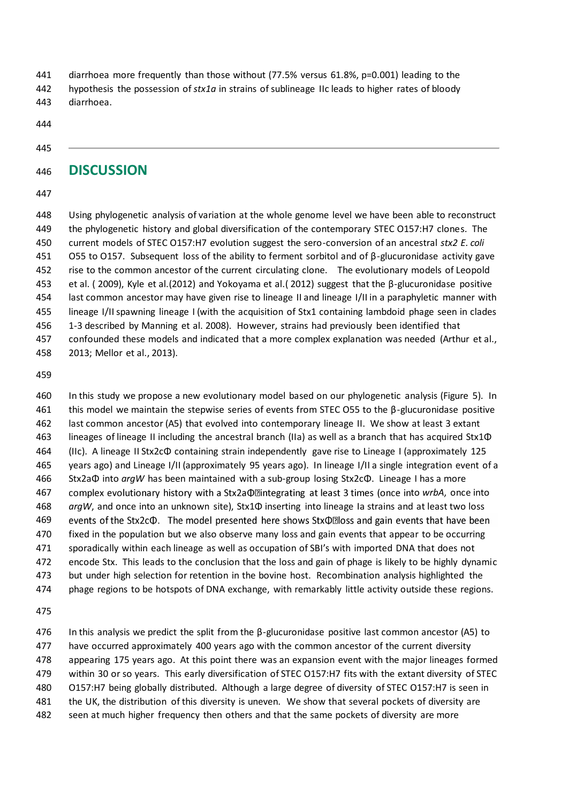- diarrhoea more frequently than those without (77.5% versus 61.8%, p=0.001) leading to the hypothesis the possession of *stx1a* in strains of sublineage IIc leads to higher rates of bloody
- diarrhoea.
- 

### **DISCUSSION**

 Using phylogenetic analysis of variation at the whole genome level we have been able to reconstruct the phylogenetic history and global diversification of the contemporary STEC O157:H7 clones. The current models of STEC O157:H7 evolution suggest the sero-conversion of an ancestral *stx2 E. coli* O55 to O157. Subsequent loss of the ability to ferment sorbitol and of β-glucuronidase activity gave rise to the common ancestor of the current circulating clone. The evolutionary models of Leopold et al. ( 2009), Kyle et al.(2012) and Yokoyama et al.( 2012) suggest that the β-glucuronidase positive last common ancestor may have given rise to lineage II and lineage I/II in a paraphyletic manner with lineage I/II spawning lineage I (with the acquisition of Stx1 containing lambdoid phage seen in clades 1-3 described by Manning et al. 2008). However, strains had previously been identified that confounded these models and indicated that a more complex explanation was needed (Arthur et al., 2013; Mellor et al., 2013).

 In this study we propose a new evolutionary model based on our phylogenetic analysis (Figure 5). In 461 this model we maintain the stepwise series of events from STEC O55 to the  $\beta$ -glucuronidase positive last common ancestor (A5) that evolved into contemporary lineage II. We show at least 3 extant lineages of lineage II including the ancestral branch (IIa) as well as a branch that has acquired Stx1Φ (IIc). A lineage II Stx2cΦ containing strain independently gave rise to Lineage I (approximately 125 years ago) and Lineage I/II (approximately 95 years ago). In lineage I/II a single integration event of a Stx2aΦ into *argW* has been maintained with a sub-group losing Stx2cΦ. Lineage I has a more 467 complex evolutionary history with a Stx2a **O**llintegrating at least 3 times (once into wrbA, once into *argW*, and once into an unknown site), Stx1Φ inserting into lineage Ia strains and at least two loss events of the Stx2c $\Phi$ . The model presented here shows Stx $\Phi$ lloss and gain events that have been fixed in the population but we also observe many loss and gain events that appear to be occurring sporadically within each lineage as well as occupation of SBI's with imported DNA that does not encode Stx. This leads to the conclusion that the loss and gain of phage is likely to be highly dynamic but under high selection for retention in the bovine host. Recombination analysis highlighted the phage regions to be hotspots of DNA exchange, with remarkably little activity outside these regions.

476 In this analysis we predict the split from the  $\beta$ -glucuronidase positive last common ancestor (A5) to have occurred approximately 400 years ago with the common ancestor of the current diversity appearing 175 years ago. At this point there was an expansion event with the major lineages formed within 30 or so years. This early diversification of STEC O157:H7 fits with the extant diversity of STEC O157:H7 being globally distributed. Although a large degree of diversity of STEC O157:H7 is seen in the UK, the distribution of this diversity is uneven. We show that several pockets of diversity are seen at much higher frequency then others and that the same pockets of diversity are more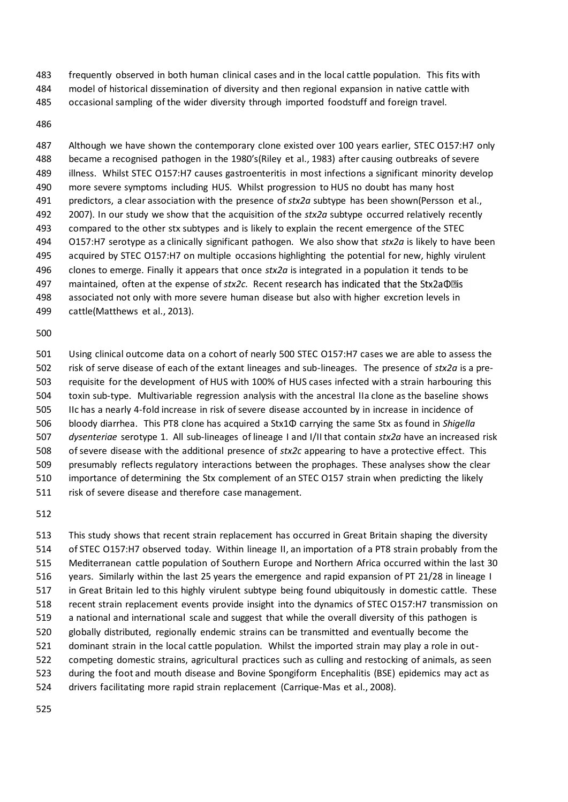frequently observed in both human clinical cases and in the local cattle population. This fits with

- model of historical dissemination of diversity and then regional expansion in native cattle with
- occasional sampling of the wider diversity through imported foodstuff and foreign travel.

#### 

 Although we have shown the contemporary clone existed over 100 years earlier, STEC O157:H7 only became a recognised pathogen in the 1980's(Riley et al., 1983) after causing outbreaks of severe illness. Whilst STEC O157:H7 causes gastroenteritis in most infections a significant minority develop more severe symptoms including HUS. Whilst progression to HUS no doubt has many host predictors, a clear association with the presence of *stx2a* subtype has been shown(Persson et al., 2007). In our study we show that the acquisition of the *stx2a* subtype occurred relatively recently compared to the other stx subtypes and is likely to explain the recent emergence of the STEC O157:H7 serotype as a clinically significant pathogen. We also show that *stx2a* is likely to have been acquired by STEC O157:H7 on multiple occasions highlighting the potential for new, highly virulent clones to emerge. Finally it appears that once *stx2a* is integrated in a population it tends to be maintained, often at the expense of *stx2c*. Recent re associated not only with more severe human disease but also with higher excretion levels in cattle(Matthews et al., 2013).

 Using clinical outcome data on a cohort of nearly 500 STEC O157:H7 cases we are able to assess the risk of serve disease of each of the extant lineages and sub-lineages. The presence of *stx2a* is a pre- requisite for the development of HUS with 100% of HUS cases infected with a strain harbouring this toxin sub-type. Multivariable regression analysis with the ancestral IIa clone as the baseline shows IIc has a nearly 4-fold increase in risk of severe disease accounted by in increase in incidence of bloody diarrhea. This PT8 clone has acquired a Stx1Φ carrying the same Stx as found in *Shigella dysenteriae* serotype 1. All sub-lineages of lineage I and I/II that contain *stx2a* have an increased risk of severe disease with the additional presence of *stx2c* appearing to have a protective effect. This presumably reflects regulatory interactions between the prophages. These analyses show the clear importance of determining the Stx complement of an STEC O157 strain when predicting the likely risk of severe disease and therefore case management.

 This study shows that recent strain replacement has occurred in Great Britain shaping the diversity of STEC O157:H7 observed today. Within lineage II, an importation of a PT8 strain probably from the Mediterranean cattle population of Southern Europe and Northern Africa occurred within the last 30 years. Similarly within the last 25 years the emergence and rapid expansion of PT 21/28 in lineage I in Great Britain led to this highly virulent subtype being found ubiquitously in domestic cattle. These recent strain replacement events provide insight into the dynamics of STEC O157:H7 transmission on a national and international scale and suggest that while the overall diversity of this pathogen is globally distributed, regionally endemic strains can be transmitted and eventually become the dominant strain in the local cattle population. Whilst the imported strain may play a role in out- competing domestic strains, agricultural practices such as culling and restocking of animals, as seen during the foot and mouth disease and Bovine Spongiform Encephalitis (BSE) epidemics may act as drivers facilitating more rapid strain replacement (Carrique-Mas et al., 2008).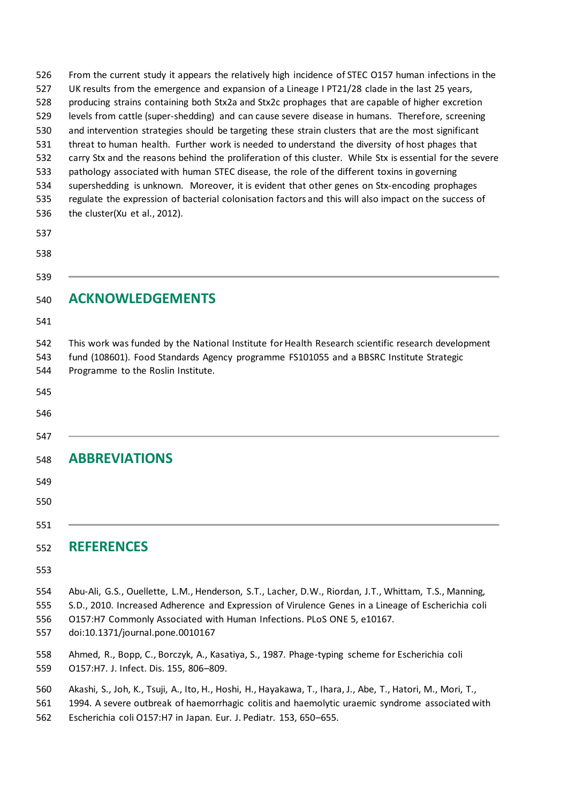| 526<br>527<br>528<br>529<br>530<br>531<br>532<br>533<br>534<br>535<br>536<br>537<br>538 | From the current study it appears the relatively high incidence of STEC 0157 human infections in the<br>UK results from the emergence and expansion of a Lineage I PT21/28 clade in the last 25 years,<br>producing strains containing both Stx2a and Stx2c prophages that are capable of higher excretion<br>levels from cattle (super-shedding) and can cause severe disease in humans. Therefore, screening<br>and intervention strategies should be targeting these strain clusters that are the most significant<br>threat to human health. Further work is needed to understand the diversity of host phages that<br>carry Stx and the reasons behind the proliferation of this cluster. While Stx is essential for the severe<br>pathology associated with human STEC disease, the role of the different toxins in governing<br>supershedding is unknown. Moreover, it is evident that other genes on Stx-encoding prophages<br>regulate the expression of bacterial colonisation factors and this will also impact on the success of<br>the cluster(Xu et al., 2012). |
|-----------------------------------------------------------------------------------------|-------------------------------------------------------------------------------------------------------------------------------------------------------------------------------------------------------------------------------------------------------------------------------------------------------------------------------------------------------------------------------------------------------------------------------------------------------------------------------------------------------------------------------------------------------------------------------------------------------------------------------------------------------------------------------------------------------------------------------------------------------------------------------------------------------------------------------------------------------------------------------------------------------------------------------------------------------------------------------------------------------------------------------------------------------------------------------|
| 539                                                                                     |                                                                                                                                                                                                                                                                                                                                                                                                                                                                                                                                                                                                                                                                                                                                                                                                                                                                                                                                                                                                                                                                               |
| 540<br>541                                                                              | <b>ACKNOWLEDGEMENTS</b>                                                                                                                                                                                                                                                                                                                                                                                                                                                                                                                                                                                                                                                                                                                                                                                                                                                                                                                                                                                                                                                       |
| 542<br>543<br>544<br>545<br>546                                                         | This work was funded by the National Institute for Health Research scientific research development<br>fund (108601). Food Standards Agency programme FS101055 and a BBSRC Institute Strategic<br>Programme to the Roslin Institute.                                                                                                                                                                                                                                                                                                                                                                                                                                                                                                                                                                                                                                                                                                                                                                                                                                           |
| 547<br>548<br>549                                                                       | <b>ABBREVIATIONS</b>                                                                                                                                                                                                                                                                                                                                                                                                                                                                                                                                                                                                                                                                                                                                                                                                                                                                                                                                                                                                                                                          |
| 550                                                                                     |                                                                                                                                                                                                                                                                                                                                                                                                                                                                                                                                                                                                                                                                                                                                                                                                                                                                                                                                                                                                                                                                               |
| 551<br>552                                                                              | <b>REFERENCES</b>                                                                                                                                                                                                                                                                                                                                                                                                                                                                                                                                                                                                                                                                                                                                                                                                                                                                                                                                                                                                                                                             |
| 553                                                                                     |                                                                                                                                                                                                                                                                                                                                                                                                                                                                                                                                                                                                                                                                                                                                                                                                                                                                                                                                                                                                                                                                               |
| 554<br>555<br>556<br>557                                                                | Abu-Ali, G.S., Ouellette, L.M., Henderson, S.T., Lacher, D.W., Riordan, J.T., Whittam, T.S., Manning,<br>S.D., 2010. Increased Adherence and Expression of Virulence Genes in a Lineage of Escherichia coli<br>O157:H7 Commonly Associated with Human Infections. PLoS ONE 5, e10167.<br>doi:10.1371/journal.pone.0010167                                                                                                                                                                                                                                                                                                                                                                                                                                                                                                                                                                                                                                                                                                                                                     |
| 558<br>559                                                                              | Ahmed, R., Bopp, C., Borczyk, A., Kasatiya, S., 1987. Phage-typing scheme for Escherichia coli<br>O157:H7. J. Infect. Dis. 155, 806-809.                                                                                                                                                                                                                                                                                                                                                                                                                                                                                                                                                                                                                                                                                                                                                                                                                                                                                                                                      |
| 560<br>561                                                                              | Akashi, S., Joh, K., Tsuji, A., Ito, H., Hoshi, H., Hayakawa, T., Ihara, J., Abe, T., Hatori, M., Mori, T.,<br>1994. A severe outbreak of haemorrhagic colitis and haemolytic uraemic syndrome associated with                                                                                                                                                                                                                                                                                                                                                                                                                                                                                                                                                                                                                                                                                                                                                                                                                                                                |

Escherichia coli O157:H7 in Japan. Eur. J. Pediatr. 153, 650–655.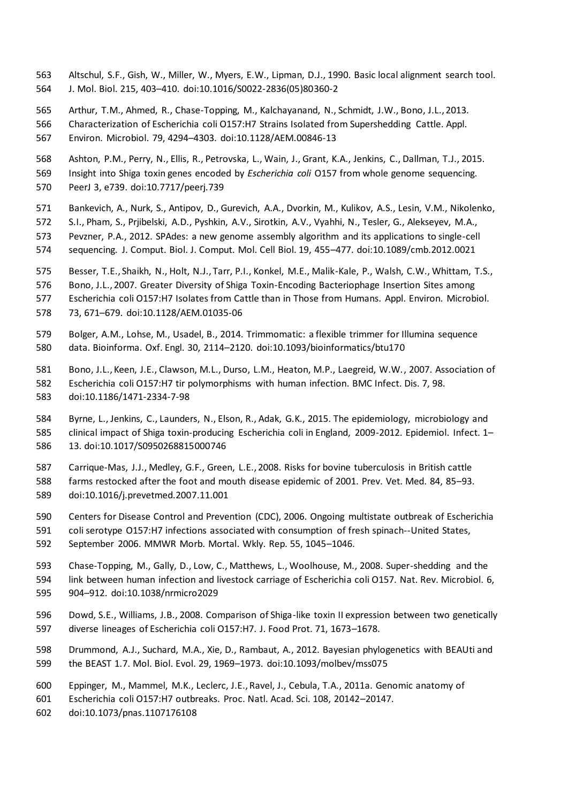- Altschul, S.F., Gish, W., Miller, W., Myers, E.W., Lipman, D.J., 1990. Basic local alignment search tool. J. Mol. Biol. 215, 403–410. doi:10.1016/S0022-2836(05)80360-2
- Arthur, T.M., Ahmed, R., Chase-Topping, M., Kalchayanand, N., Schmidt, J.W., Bono, J.L., 2013.
- Characterization of Escherichia coli O157:H7 Strains Isolated from Supershedding Cattle. Appl. Environ. Microbiol. 79, 4294–4303. doi:10.1128/AEM.00846-13
- Ashton, P.M., Perry, N., Ellis, R., Petrovska, L., Wain, J., Grant, K.A., Jenkins, C., Dallman, T.J., 2015.
- Insight into Shiga toxin genes encoded by *Escherichia coli* O157 from whole genome sequencing. PeerJ 3, e739. doi:10.7717/peerj.739
- Bankevich, A., Nurk, S., Antipov, D., Gurevich, A.A., Dvorkin, M., Kulikov, A.S., Lesin, V.M., Nikolenko,
- S.I., Pham, S., Prjibelski, A.D., Pyshkin, A.V., Sirotkin, A.V., Vyahhi, N., Tesler, G., Alekseyev, M.A.,
- Pevzner, P.A., 2012. SPAdes: a new genome assembly algorithm and its applications to single-cell sequencing. J. Comput. Biol. J. Comput. Mol. Cell Biol. 19, 455–477. doi:10.1089/cmb.2012.0021
- Besser, T.E., Shaikh, N., Holt, N.J., Tarr, P.I., Konkel, M.E., Malik-Kale, P., Walsh, C.W., Whittam, T.S.,
- Bono, J.L., 2007. Greater Diversity of Shiga Toxin-Encoding Bacteriophage Insertion Sites among
- Escherichia coli O157:H7 Isolates from Cattle than in Those from Humans. Appl. Environ. Microbiol.
- 73, 671–679. doi:10.1128/AEM.01035-06
- Bolger, A.M., Lohse, M., Usadel, B., 2014. Trimmomatic: a flexible trimmer for Illumina sequence data. Bioinforma. Oxf. Engl. 30, 2114–2120. doi:10.1093/bioinformatics/btu170
- Bono, J.L., Keen, J.E., Clawson, M.L., Durso, L.M., Heaton, M.P., Laegreid, W.W., 2007. Association of Escherichia coli O157:H7 tir polymorphisms with human infection. BMC Infect. Dis. 7, 98.
- doi:10.1186/1471-2334-7-98
- Byrne, L., Jenkins, C., Launders, N., Elson, R., Adak, G.K., 2015. The epidemiology, microbiology and clinical impact of Shiga toxin-producing Escherichia coli in England, 2009-2012. Epidemiol. Infect. 1– 13. doi:10.1017/S0950268815000746
- Carrique-Mas, J.J., Medley, G.F., Green, L.E., 2008. Risks for bovine tuberculosis in British cattle
- farms restocked after the foot and mouth disease epidemic of 2001. Prev. Vet. Med. 84, 85–93. doi:10.1016/j.prevetmed.2007.11.001
- Centers for Disease Control and Prevention (CDC), 2006. Ongoing multistate outbreak of Escherichia
- coli serotype O157:H7 infections associated with consumption of fresh spinach--United States, September 2006. MMWR Morb. Mortal. Wkly. Rep. 55, 1045–1046.
- Chase-Topping, M., Gally, D., Low, C., Matthews, L., Woolhouse, M., 2008. Super-shedding and the
- link between human infection and livestock carriage of Escherichia coli O157. Nat. Rev. Microbiol. 6, 904–912. doi:10.1038/nrmicro2029
- Dowd, S.E., Williams, J.B., 2008. Comparison of Shiga-like toxin II expression between two genetically diverse lineages of Escherichia coli O157:H7. J. Food Prot. 71, 1673–1678.
- Drummond, A.J., Suchard, M.A., Xie, D., Rambaut, A., 2012. Bayesian phylogenetics with BEAUti and the BEAST 1.7. Mol. Biol. Evol. 29, 1969–1973. doi:10.1093/molbev/mss075
- Eppinger, M., Mammel, M.K., Leclerc, J.E., Ravel, J., Cebula, T.A., 2011a. Genomic anatomy of
- Escherichia coli O157:H7 outbreaks. Proc. Natl. Acad. Sci. 108, 20142–20147.
- doi:10.1073/pnas.1107176108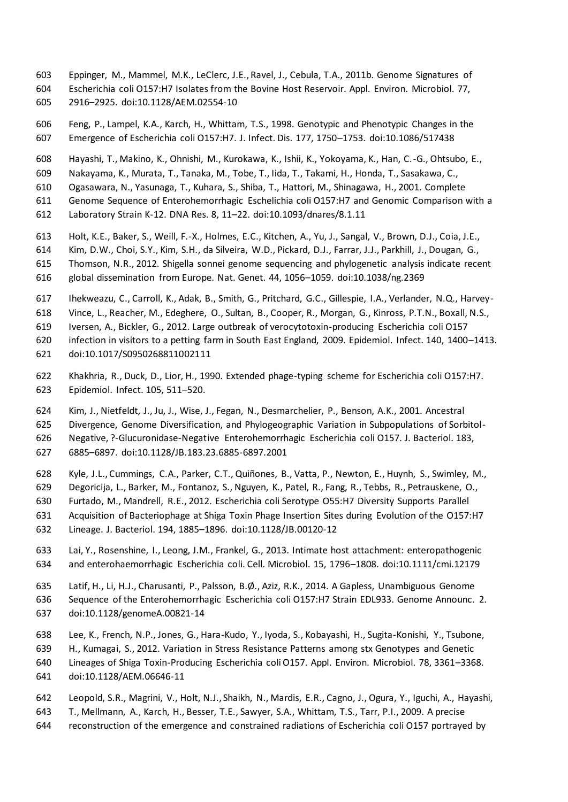- Eppinger, M., Mammel, M.K., LeClerc, J.E., Ravel, J., Cebula, T.A., 2011b. Genome Signatures of Escherichia coli O157:H7 Isolates from the Bovine Host Reservoir. Appl. Environ. Microbiol. 77,
- 2916–2925. doi:10.1128/AEM.02554-10

 Feng, P., Lampel, K.A., Karch, H., Whittam, T.S., 1998. Genotypic and Phenotypic Changes in the Emergence of Escherichia coli O157:H7. J. Infect. Dis. 177, 1750–1753. doi:10.1086/517438

- Hayashi, T., Makino, K., Ohnishi, M., Kurokawa, K., Ishii, K., Yokoyama, K., Han, C.-G., Ohtsubo, E.,
- Nakayama, K., Murata, T., Tanaka, M., Tobe, T., Iida, T., Takami, H., Honda, T., Sasakawa, C.,
- Ogasawara, N., Yasunaga, T., Kuhara, S., Shiba, T., Hattori, M., Shinagawa, H., 2001. Complete
- Genome Sequence of Enterohemorrhagic Eschelichia coli O157:H7 and Genomic Comparison with a
- Laboratory Strain K-12. DNA Res. 8, 11–22. doi:10.1093/dnares/8.1.11
- Holt, K.E., Baker, S., Weill, F.-X., Holmes, E.C., Kitchen, A., Yu, J., Sangal, V., Brown, D.J., Coia, J.E.,
- Kim, D.W., Choi, S.Y., Kim, S.H., da Silveira, W.D., Pickard, D.J., Farrar, J.J., Parkhill, J., Dougan, G.,
- Thomson, N.R., 2012. Shigella sonnei genome sequencing and phylogenetic analysis indicate recent
- global dissemination from Europe. Nat. Genet. 44, 1056–1059. doi:10.1038/ng.2369
- Ihekweazu, C., Carroll, K., Adak, B., Smith, G., Pritchard, G.C., Gillespie, I.A., Verlander, N.Q., Harvey-
- Vince, L., Reacher, M., Edeghere, O., Sultan, B., Cooper, R., Morgan, G., Kinross, P.T.N., Boxall, N.S.,
- Iversen, A., Bickler, G., 2012. Large outbreak of verocytotoxin-producing Escherichia coli O157
- infection in visitors to a petting farm in South East England, 2009. Epidemiol. Infect. 140, 1400–1413.
- doi:10.1017/S0950268811002111
- Khakhria, R., Duck, D., Lior, H., 1990. Extended phage-typing scheme for Escherichia coli O157:H7. Epidemiol. Infect. 105, 511–520.
- Kim, J., Nietfeldt, J., Ju, J., Wise, J., Fegan, N., Desmarchelier, P., Benson, A.K., 2001. Ancestral
- Divergence, Genome Diversification, and Phylogeographic Variation in Subpopulations of Sorbitol-

Negative, ?-Glucuronidase-Negative Enterohemorrhagic Escherichia coli O157. J. Bacteriol. 183,

- 6885–6897. doi:10.1128/JB.183.23.6885-6897.2001
- Kyle, J.L., Cummings, C.A., Parker, C.T., Quiñones, B., Vatta, P., Newton, E., Huynh, S., Swimley, M.,
- Degoricija, L., Barker, M., Fontanoz, S., Nguyen, K., Patel, R., Fang, R., Tebbs, R., Petrauskene, O., Furtado, M., Mandrell, R.E., 2012. Escherichia coli Serotype O55:H7 Diversity Supports Parallel
- Acquisition of Bacteriophage at Shiga Toxin Phage Insertion Sites during Evolution of the O157:H7
- Lineage. J. Bacteriol. 194, 1885–1896. doi:10.1128/JB.00120-12
- Lai, Y., Rosenshine, I., Leong, J.M., Frankel, G., 2013. Intimate host attachment: enteropathogenic and enterohaemorrhagic Escherichia coli. Cell. Microbiol. 15, 1796–1808. doi:10.1111/cmi.12179
- Latif, H., Li, H.J., Charusanti, P., Palsson, B.Ø., Aziz, R.K., 2014. A Gapless, Unambiguous Genome
- Sequence of the Enterohemorrhagic Escherichia coli O157:H7 Strain EDL933. Genome Announc. 2. doi:10.1128/genomeA.00821-14
- Lee, K., French, N.P., Jones, G., Hara-Kudo, Y., Iyoda, S., Kobayashi, H., Sugita-Konishi, Y., Tsubone,
- H., Kumagai, S., 2012. Variation in Stress Resistance Patterns among stx Genotypes and Genetic
- Lineages of Shiga Toxin-Producing Escherichia coli O157. Appl. Environ. Microbiol. 78, 3361–3368.
- doi:10.1128/AEM.06646-11
- Leopold, S.R., Magrini, V., Holt, N.J., Shaikh, N., Mardis, E.R., Cagno, J., Ogura, Y., Iguchi, A., Hayashi,
- T., Mellmann, A., Karch, H., Besser, T.E., Sawyer, S.A., Whittam, T.S., Tarr, P.I., 2009. A precise
- reconstruction of the emergence and constrained radiations of Escherichia coli O157 portrayed by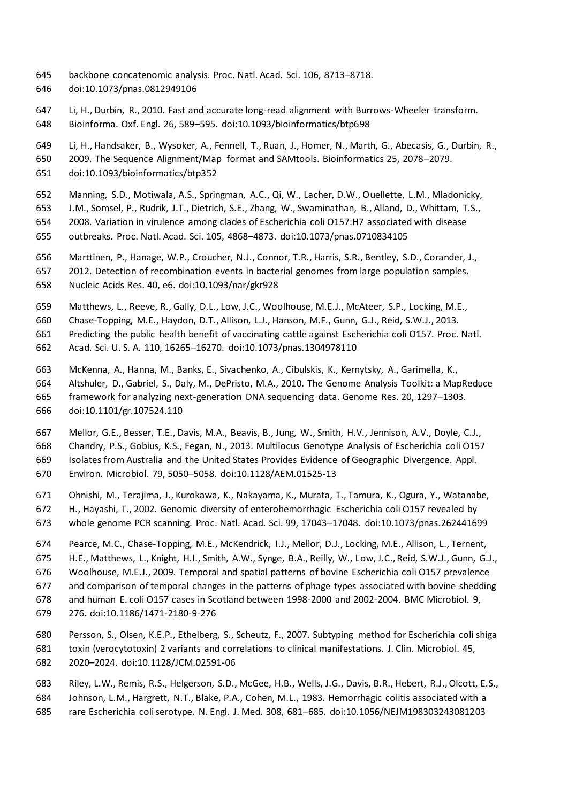- backbone concatenomic analysis. Proc. Natl. Acad. Sci. 106, 8713–8718.
- doi:10.1073/pnas.0812949106
- Li, H., Durbin, R., 2010. Fast and accurate long-read alignment with Burrows-Wheeler transform.
- Bioinforma. Oxf. Engl. 26, 589–595. doi:10.1093/bioinformatics/btp698
- Li, H., Handsaker, B., Wysoker, A., Fennell, T., Ruan, J., Homer, N., Marth, G., Abecasis, G., Durbin, R.,
- 2009. The Sequence Alignment/Map format and SAMtools. Bioinformatics 25, 2078–2079.
- doi:10.1093/bioinformatics/btp352
- Manning, S.D., Motiwala, A.S., Springman, A.C., Qi, W., Lacher, D.W., Ouellette, L.M., Mladonicky,
- J.M., Somsel, P., Rudrik, J.T., Dietrich, S.E., Zhang, W., Swaminathan, B., Alland, D., Whittam, T.S.,
- 2008. Variation in virulence among clades of Escherichia coli O157:H7 associated with disease
- outbreaks. Proc. Natl. Acad. Sci. 105, 4868–4873. doi:10.1073/pnas.0710834105
- Marttinen, P., Hanage, W.P., Croucher, N.J., Connor, T.R., Harris, S.R., Bentley, S.D., Corander, J.,
- 2012. Detection of recombination events in bacterial genomes from large population samples.
- Nucleic Acids Res. 40, e6. doi:10.1093/nar/gkr928
- Matthews, L., Reeve, R., Gally, D.L., Low, J.C., Woolhouse, M.E.J., McAteer, S.P., Locking, M.E.,
- Chase-Topping, M.E., Haydon, D.T., Allison, L.J., Hanson, M.F., Gunn, G.J., Reid, S.W.J., 2013.
- Predicting the public health benefit of vaccinating cattle against Escherichia coli O157. Proc. Natl.
- Acad. Sci. U. S. A. 110, 16265–16270. doi:10.1073/pnas.1304978110
- McKenna, A., Hanna, M., Banks, E., Sivachenko, A., Cibulskis, K., Kernytsky, A., Garimella, K.,
- Altshuler, D., Gabriel, S., Daly, M., DePristo, M.A., 2010. The Genome Analysis Toolkit: a MapReduce framework for analyzing next-generation DNA sequencing data. Genome Res. 20, 1297–1303.
- doi:10.1101/gr.107524.110
- Mellor, G.E., Besser, T.E., Davis, M.A., Beavis, B., Jung, W., Smith, H.V., Jennison, A.V., Doyle, C.J.,
- Chandry, P.S., Gobius, K.S., Fegan, N., 2013. Multilocus Genotype Analysis of Escherichia coli O157
- Isolates from Australia and the United States Provides Evidence of Geographic Divergence. Appl.
- Environ. Microbiol. 79, 5050–5058. doi:10.1128/AEM.01525-13
- Ohnishi, M., Terajima, J., Kurokawa, K., Nakayama, K., Murata, T., Tamura, K., Ogura, Y., Watanabe,
- H., Hayashi, T., 2002. Genomic diversity of enterohemorrhagic Escherichia coli O157 revealed by
- whole genome PCR scanning. Proc. Natl. Acad. Sci. 99, 17043–17048. doi:10.1073/pnas.262441699
- Pearce, M.C., Chase-Topping, M.E., McKendrick, I.J., Mellor, D.J., Locking, M.E., Allison, L., Ternent,
- H.E., Matthews, L., Knight, H.I., Smith, A.W., Synge, B.A., Reilly, W., Low, J.C., Reid, S.W.J., Gunn, G.J.,
- Woolhouse, M.E.J., 2009. Temporal and spatial patterns of bovine Escherichia coli O157 prevalence
- and comparison of temporal changes in the patterns of phage types associated with bovine shedding
- and human E. coli O157 cases in Scotland between 1998-2000 and 2002-2004. BMC Microbiol. 9,
- 276. doi:10.1186/1471-2180-9-276
- Persson, S., Olsen, K.E.P., Ethelberg, S., Scheutz, F., 2007. Subtyping method for Escherichia coli shiga toxin (verocytotoxin) 2 variants and correlations to clinical manifestations. J. Clin. Microbiol. 45, 2020–2024. doi:10.1128/JCM.02591-06
- Riley, L.W., Remis, R.S., Helgerson, S.D., McGee, H.B., Wells, J.G., Davis, B.R., Hebert, R.J., Olcott, E.S., Johnson, L.M., Hargrett, N.T., Blake, P.A., Cohen, M.L., 1983. Hemorrhagic colitis associated with a rare Escherichia coli serotype. N. Engl. J. Med. 308, 681–685. doi:10.1056/NEJM198303243081203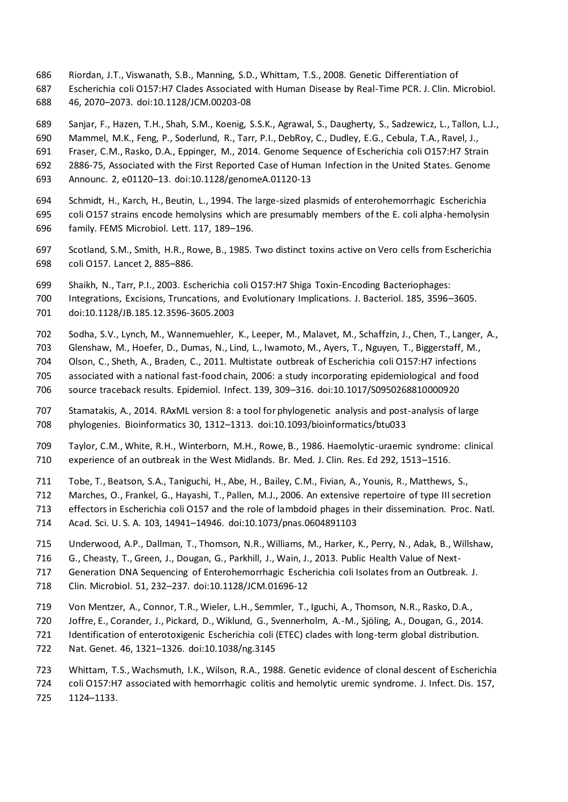- Riordan, J.T., Viswanath, S.B., Manning, S.D., Whittam, T.S., 2008. Genetic Differentiation of Escherichia coli O157:H7 Clades Associated with Human Disease by Real-Time PCR. J. Clin. Microbiol.
- 46, 2070–2073. doi:10.1128/JCM.00203-08

Sanjar, F., Hazen, T.H., Shah, S.M., Koenig, S.S.K., Agrawal, S., Daugherty, S., Sadzewicz, L., Tallon, L.J.,

Mammel, M.K., Feng, P., Soderlund, R., Tarr, P.I., DebRoy, C., Dudley, E.G., Cebula, T.A., Ravel, J.,

Fraser, C.M., Rasko, D.A., Eppinger, M., 2014. Genome Sequence of Escherichia coli O157:H7 Strain

2886-75, Associated with the First Reported Case of Human Infection in the United States. Genome

- Announc. 2, e01120–13. doi:10.1128/genomeA.01120-13
- Schmidt, H., Karch, H., Beutin, L., 1994. The large-sized plasmids of enterohemorrhagic Escherichia coli O157 strains encode hemolysins which are presumably members of the E. coli alpha-hemolysin family. FEMS Microbiol. Lett. 117, 189–196.
- Scotland, S.M., Smith, H.R., Rowe, B., 1985. Two distinct toxins active on Vero cells from Escherichia coli O157. Lancet 2, 885–886.
- Shaikh, N., Tarr, P.I., 2003. Escherichia coli O157:H7 Shiga Toxin-Encoding Bacteriophages:
- Integrations, Excisions, Truncations, and Evolutionary Implications. J. Bacteriol. 185, 3596–3605.
- doi:10.1128/JB.185.12.3596-3605.2003
- Sodha, S.V., Lynch, M., Wannemuehler, K., Leeper, M., Malavet, M., Schaffzin, J., Chen, T., Langer, A.,
- Glenshaw, M., Hoefer, D., Dumas, N., Lind, L., Iwamoto, M., Ayers, T., Nguyen, T., Biggerstaff, M.,
- Olson, C., Sheth, A., Braden, C., 2011. Multistate outbreak of Escherichia coli O157:H7 infections
- associated with a national fast-food chain, 2006: a study incorporating epidemiological and food source traceback results. Epidemiol. Infect. 139, 309–316. doi:10.1017/S0950268810000920
- Stamatakis, A., 2014. RAxML version 8: a tool for phylogenetic analysis and post-analysis of large phylogenies. Bioinformatics 30, 1312–1313. doi:10.1093/bioinformatics/btu033
- Taylor, C.M., White, R.H., Winterborn, M.H., Rowe, B., 1986. Haemolytic-uraemic syndrome: clinical experience of an outbreak in the West Midlands. Br. Med. J. Clin. Res. Ed 292, 1513–1516.
- Tobe, T., Beatson, S.A., Taniguchi, H., Abe, H., Bailey, C.M., Fivian, A., Younis, R., Matthews, S.,
- Marches, O., Frankel, G., Hayashi, T., Pallen, M.J., 2006. An extensive repertoire of type III secretion
- effectors in Escherichia coli O157 and the role of lambdoid phages in their dissemination. Proc. Natl.
- Acad. Sci. U. S. A. 103, 14941–14946. doi:10.1073/pnas.0604891103
- Underwood, A.P., Dallman, T., Thomson, N.R., Williams, M., Harker, K., Perry, N., Adak, B., Willshaw,
- G., Cheasty, T., Green, J., Dougan, G., Parkhill, J., Wain, J., 2013. Public Health Value of Next-
- Generation DNA Sequencing of Enterohemorrhagic Escherichia coli Isolates from an Outbreak. J.
- Clin. Microbiol. 51, 232–237. doi:10.1128/JCM.01696-12
- Von Mentzer, A., Connor, T.R., Wieler, L.H., Semmler, T., Iguchi, A., Thomson, N.R., Rasko, D.A.,
- Joffre, E., Corander, J., Pickard, D., Wiklund, G., Svennerholm, A.-M., Sjöling, A., Dougan, G., 2014.
- Identification of enterotoxigenic Escherichia coli (ETEC) clades with long-term global distribution.
- Nat. Genet. 46, 1321–1326. doi:10.1038/ng.3145
- Whittam, T.S., Wachsmuth, I.K., Wilson, R.A., 1988. Genetic evidence of clonal descent of Escherichia
- coli O157:H7 associated with hemorrhagic colitis and hemolytic uremic syndrome. J. Infect. Dis. 157,
- 1124–1133.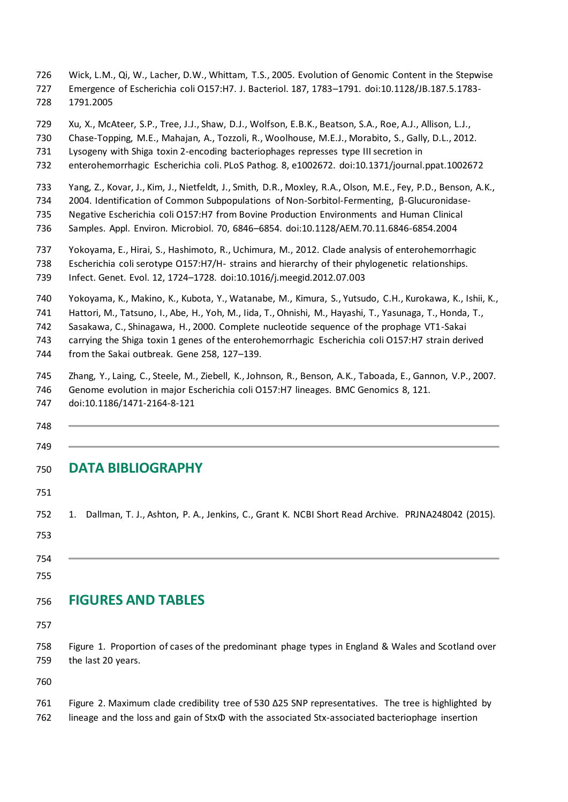- Wick, L.M., Qi, W., Lacher, D.W., Whittam, T.S., 2005. Evolution of Genomic Content in the Stepwise
- Emergence of Escherichia coli O157:H7. J. Bacteriol. 187, 1783–1791. doi:10.1128/JB.187.5.1783- 1791.2005
- Xu, X., McAteer, S.P., Tree, J.J., Shaw, D.J., Wolfson, E.B.K., Beatson, S.A., Roe, A.J., Allison, L.J.,
- Chase-Topping, M.E., Mahajan, A., Tozzoli, R., Woolhouse, M.E.J., Morabito, S., Gally, D.L., 2012.
- Lysogeny with Shiga toxin 2-encoding bacteriophages represses type III secretion in
- enterohemorrhagic Escherichia coli. PLoS Pathog. 8, e1002672. doi:10.1371/journal.ppat.1002672
- Yang, Z., Kovar, J., Kim, J., Nietfeldt, J., Smith, D.R., Moxley, R.A., Olson, M.E., Fey, P.D., Benson, A.K.,
- 2004. Identification of Common Subpopulations of Non-Sorbitol-Fermenting, β-Glucuronidase-
- Negative Escherichia coli O157:H7 from Bovine Production Environments and Human Clinical
- Samples. Appl. Environ. Microbiol. 70, 6846–6854. doi:10.1128/AEM.70.11.6846-6854.2004
- Yokoyama, E., Hirai, S., Hashimoto, R., Uchimura, M., 2012. Clade analysis of enterohemorrhagic
- Escherichia coli serotype O157:H7/H- strains and hierarchy of their phylogenetic relationships. Infect. Genet. Evol. 12, 1724–1728. doi:10.1016/j.meegid.2012.07.003
- Yokoyama, K., Makino, K., Kubota, Y., Watanabe, M., Kimura, S., Yutsudo, C.H., Kurokawa, K., Ishii, K.,
- Hattori, M., Tatsuno, I., Abe, H., Yoh, M., Iida, T., Ohnishi, M., Hayashi, T., Yasunaga, T., Honda, T.,
- Sasakawa, C., Shinagawa, H., 2000. Complete nucleotide sequence of the prophage VT1-Sakai
- carrying the Shiga toxin 1 genes of the enterohemorrhagic Escherichia coli O157:H7 strain derived
- from the Sakai outbreak. Gene 258, 127–139.
- Zhang, Y., Laing, C., Steele, M., Ziebell, K., Johnson, R., Benson, A.K., Taboada, E., Gannon, V.P., 2007.
- Genome evolution in major Escherichia coli O157:H7 lineages. BMC Genomics 8, 121.
- doi:10.1186/1471-2164-8-121
- 

### **DATA BIBLIOGRAPHY**

- 1. Dallman, T. J., Ashton, P. A., Jenkins, C., Grant K. NCBI Short Read Archive. PRJNA248042 (2015).
- 
- 
- 

### **FIGURES AND TABLES**

- 
- Figure 1. Proportion of cases of the predominant phage types in England & Wales and Scotland over the last 20 years.

 Figure 2. Maximum clade credibility tree of 530 Δ25 SNP representatives. The tree is highlighted by lineage and the loss and gain of StxΦ with the associated Stx-associated bacteriophage insertion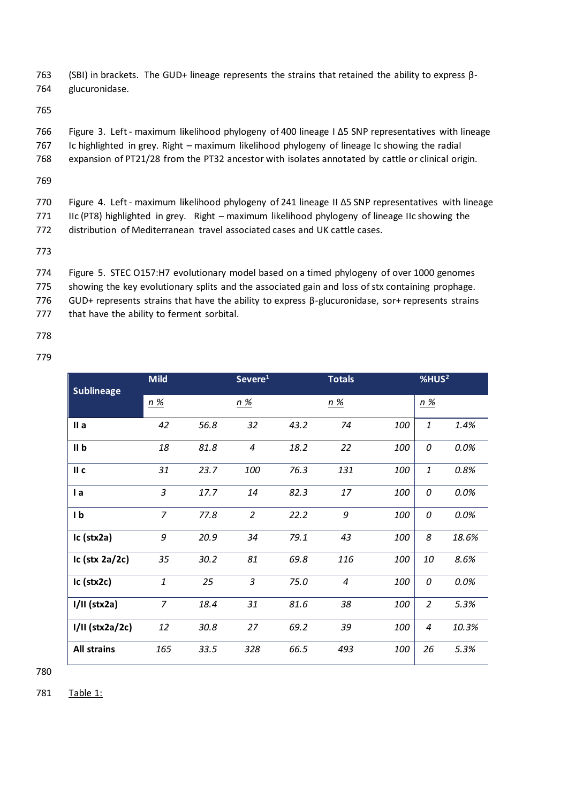763 (SBI) in brackets. The GUD+ lineage represents the strains that retained the ability to express β-764 glucuronidase.

765

766 Figure 3. Left - maximum likelihood phylogeny of 400 lineage I Δ5 SNP representatives with lineage

767 Ic highlighted in grey. Right – maximum likelihood phylogeny of lineage Ic showing the radial

768 expansion of PT21/28 from the PT32 ancestor with isolates annotated by cattle or clinical origin.

769

770 Figure 4. Left - maximum likelihood phylogeny of 241 lineage II Δ5 SNP representatives with lineage 771 IIc (PT8) highlighted in grey. Right – maximum likelihood phylogeny of lineage IIc showing the

772 distribution of Mediterranean travel associated cases and UK cattle cases.

773

774 Figure 5. STEC O157:H7 evolutionary model based on a timed phylogeny of over 1000 genomes

775 showing the key evolutionary splits and the associated gain and loss of stx containing prophage.

776 GUD+ represents strains that have the ability to express β-glucuronidase, sor+ represents strains

777 that have the ability to ferment sorbital.

778 779

| <b>Sublineage</b>  | <b>Mild</b>    |      | Severe <sup>1</sup> |      | <b>Totals</b> |     | %HUS <sup>2</sup> |         |
|--------------------|----------------|------|---------------------|------|---------------|-----|-------------------|---------|
|                    | <u>n %</u>     |      | <u>n %</u>          |      | <u>n %</u>    |     | <u>n %</u>        |         |
| IIa                | 42             | 56.8 | 32                  | 43.2 | 74            | 100 | $\mathbf{1}$      | 1.4%    |
| II <sub>b</sub>    | 18             | 81.8 | 4                   | 18.2 | 22            | 100 | 0                 | 0.0%    |
| II c               | 31             | 23.7 | 100                 | 76.3 | 131           | 100 | $\mathbf{1}$      | 0.8%    |
| $l$ a              | $\overline{3}$ | 17.7 | 14                  | 82.3 | 17            | 100 | 0                 | 0.0%    |
| 1 <sub>b</sub>     | $\overline{z}$ | 77.8 | $\overline{2}$      | 22.2 | 9             | 100 | 0                 | 0.0%    |
| $lc$ (stx2a)       | 9              | 20.9 | 34                  | 79.1 | 43            | 100 | 8                 | 18.6%   |
| Ic (stx $2a/2c$ )  | 35             | 30.2 | 81                  | 69.8 | 116           | 100 | 10                | 8.6%    |
| $lc$ (stx $2c$ )   | $\mathbf{1}$   | 25   | $\overline{3}$      | 75.0 | 4             | 100 | 0                 | $0.0\%$ |
| $I/II$ (stx2a)     | $\overline{7}$ | 18.4 | 31                  | 81.6 | 38            | 100 | $\overline{2}$    | 5.3%    |
| $I/II$ (stx2a/2c)  | 12             | 30.8 | 27                  | 69.2 | 39            | 100 | 4                 | 10.3%   |
| <b>All strains</b> | 165            | 33.5 | 328                 | 66.5 | 493           | 100 | 26                | 5.3%    |

780

781 Table 1: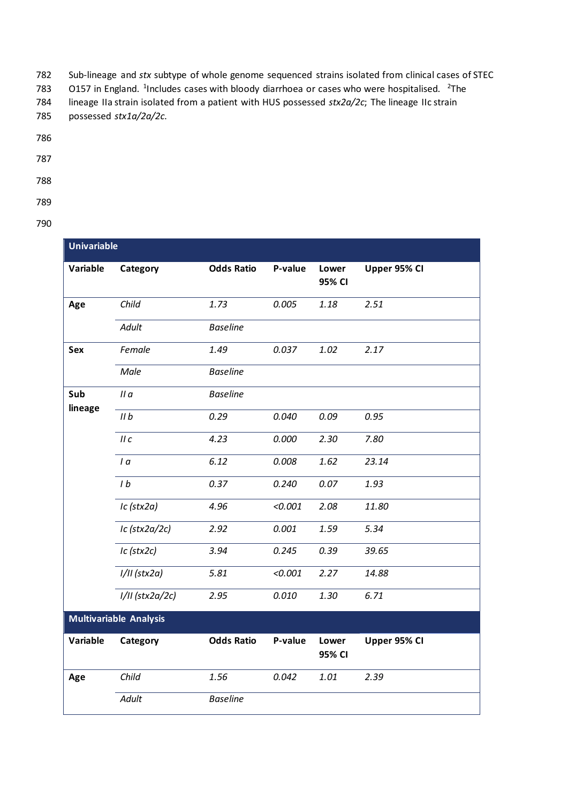782 Sub-lineage and *stx* subtype of whole genome sequenced strains isolated from clinical cases of STEC

783  $\,$  O157 in England. <sup>1</sup>Includes cases with bloody diarrhoea or cases who were hospitalised. <sup>2</sup>The

784 lineage IIa strain isolated from a patient with HUS possessed *stx2a/2c*; The lineage IIc strain

- 785 possessed *stx1a/2a/2c*.
- 786
- 787
- 788
- 789
- 790

| <b>Univariable</b>            |                 |                   |         |                 |              |  |  |
|-------------------------------|-----------------|-------------------|---------|-----------------|--------------|--|--|
| Variable                      | Category        | <b>Odds Ratio</b> | P-value | Lower<br>95% CI | Upper 95% CI |  |  |
| Age                           | Child           | 1.73              | 0.005   | 1.18            | 2.51         |  |  |
|                               | Adult           | <b>Baseline</b>   |         |                 |              |  |  |
| Sex                           | Female          | 1.49              | 0.037   | 1.02            | 2.17         |  |  |
|                               | Male            | <b>Baseline</b>   |         |                 |              |  |  |
| Sub<br>lineage                | IIa             | <b>Baseline</b>   |         |                 |              |  |  |
|                               | IIb             | 0.29              | 0.040   | 0.09            | 0.95         |  |  |
|                               | IIC             | 4.23              | 0.000   | 2.30            | 7.80         |  |  |
|                               | $I\alpha$       | 6.12              | 0.008   | 1.62            | 23.14        |  |  |
|                               | 1 <sub>b</sub>  | 0.37              | 0.240   | 0.07            | 1.93         |  |  |
|                               | Ic (stx2a)      | 4.96              | < 0.001 | 2.08            | 11.80        |  |  |
|                               | Ic (stx2a/2c)   | 2.92              | 0.001   | 1.59            | 5.34         |  |  |
|                               | Ic (stx2c)      | 3.94              | 0.245   | 0.39            | 39.65        |  |  |
|                               | $1/11$ (stx2a)  | 5.81              | < 0.001 | 2.27            | 14.88        |  |  |
|                               | I/II (stx2a/2c) | 2.95              | 0.010   | 1.30            | 6.71         |  |  |
| <b>Multivariable Analysis</b> |                 |                   |         |                 |              |  |  |
| Variable                      | Category        | <b>Odds Ratio</b> | P-value | Lower<br>95% CI | Upper 95% CI |  |  |
| Age                           | Child           | 1.56              | 0.042   | 1.01            | 2.39         |  |  |
|                               | Adult           | <b>Baseline</b>   |         |                 |              |  |  |